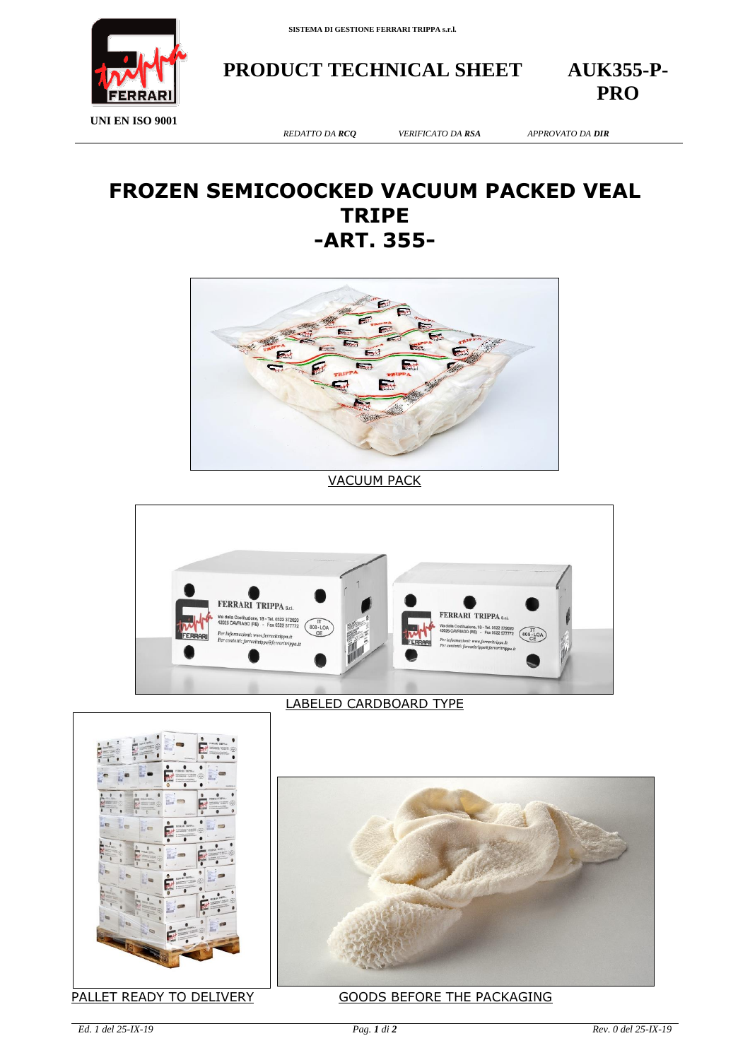

**PRODUCT TECHNICAL SHEET AUK355-P-**

**PRO**

**UNI EN ISO 9001**

*REDATTO DA RCQ VERIFICATO DA RSA APPROVATO DA DIR*

## **FROZEN SEMICOOCKED VACUUM PACKED VEAL TRIPE -ART. 355-**



VACUUM PACK



## LABELED CARDBOARD TYPE





PALLET READY TO DELIVERY GOODS BEFORE THE PACKAGING